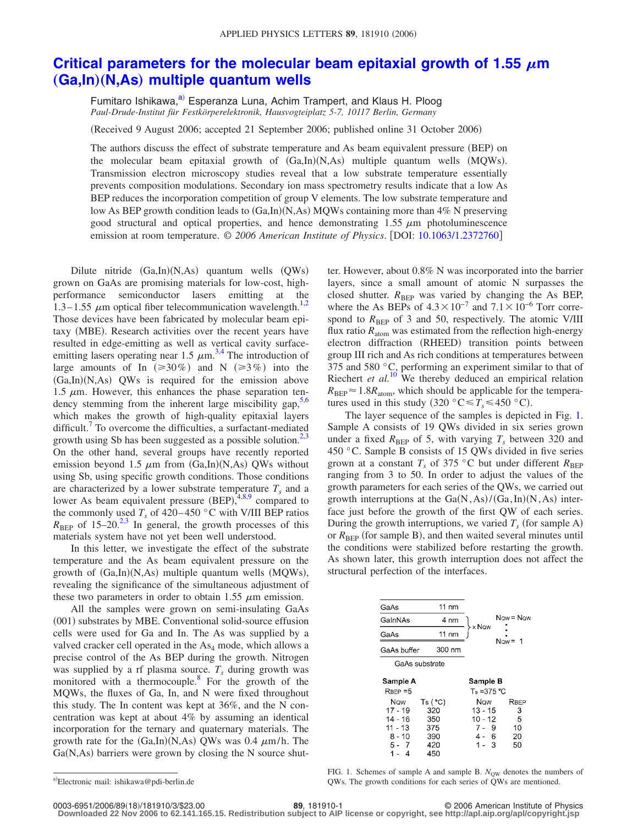## [Critical parameters for the molecular beam epitaxial growth of 1.55](http://dx.doi.org/10.1063/1.2372760)  $\mu$ m  $(Ga, In)(N, As)$  [multiple quantum wells](http://dx.doi.org/10.1063/1.2372760)

Fumitaro Ishikawa,<sup>a)</sup> Esperanza Luna, Achim Trampert, and Klaus H. Ploog *Paul-Drude-Institut für Festkörperelektronik, Hausvogteiplatz 5-7, 10117 Berlin, Germany*

Received 9 August 2006; accepted 21 September 2006; published online 31 October 2006-

The authors discuss the effect of substrate temperature and As beam equivalent pressure (BEP) on the molecular beam epitaxial growth of  $(Ga, In)(N, As)$  multiple quantum wells (MQWs). Transmission electron microscopy studies reveal that a low substrate temperature essentially prevents composition modulations. Secondary ion mass spectrometry results indicate that a low As BEP reduces the incorporation competition of group V elements. The low substrate temperature and low As BEP growth condition leads to (Ga,In)(N,As) MQWs containing more than 4% N preserving good structural and optical properties, and hence demonstrating  $1.55 \mu m$  photoluminescence emission at room temperature. © *2006 American Institute of Physics*. DOI: [10.1063/1.2372760](http://dx.doi.org/10.1063/1.2372760)

Dilute nitride  $(Ga, In)(N, As)$  quantum wells  $(QWs)$ grown on GaAs are promising materials for low-cost, highperformance semiconductor lasers emitting at the 1.3–1.55  $\mu$ m optical fiber telecommunication wavelength.<sup>1[,2](#page-2-1)</sup> Those devices have been fabricated by molecular beam epitaxy (MBE). Research activities over the recent years have resulted in edge-emitting as well as vertical cavity surfaceemitting lasers operating near 1.5  $\mu$ m.<sup>[3,](#page-2-2)[4](#page-2-3)</sup> The introduction of large amounts of In  $(\geq 30\%)$  and N  $(\geq 3\%)$  into the (Ga,In)(N,As) QWs is required for the emission above 1.5  $\mu$ m. However, this enhances the phase separation tendency stemming from the inherent large miscibility gap,  $5.6$ which makes the growth of high-quality epitaxial layers difficult.<sup>7</sup> To overcome the difficulties, a surfactant-mediated growth using Sb has been suggested as a possible solution.<sup>2[,3](#page-2-2)</sup> On the other hand, several groups have recently reported emission beyond 1.5  $\mu$ m from (Ga,In)(N,As) QWs without using Sb, using specific growth conditions. Those conditions are characterized by a lower substrate temperature  $T<sub>s</sub>$  and a lower As beam equivalent pressure  $(BEP)$ ,  $4,8,9$  $4,8,9$  $4,8,9$  compared to the commonly used  $T_s$  of 420–450 °C with V/III BEP ratios  $R_{\text{BEP}}$  of 15–20.<sup>2[,3](#page-2-2)</sup> In general, the growth processes of this materials system have not yet been well understood.

In this letter, we investigate the effect of the substrate temperature and the As beam equivalent pressure on the growth of (Ga,In)(N,As) multiple quantum wells (MQWs), revealing the significance of the simultaneous adjustment of these two parameters in order to obtain 1.55  $\mu$ m emission.

All the samples were grown on semi-insulating GaAs (001) substrates by MBE. Conventional solid-source effusion cells were used for Ga and In. The As was supplied by a valved cracker cell operated in the  $As<sub>4</sub>$  mode, which allows a precise control of the As BEP during the growth. Nitrogen was supplied by a rf plasma source.  $T_s$  during growth was monitored with a thermocouple.<sup>8</sup> For the growth of the MQWs, the fluxes of Ga, In, and N were fixed throughout this study. The In content was kept at 36%, and the N concentration was kept at about 4% by assuming an identical incorporation for the ternary and quaternary materials. The growth rate for the  $(Ga, In)(N, As)$  QWs was 0.4  $\mu$ m/h. The Ga(N,As) barriers were grown by closing the N source shut-

ter. However, about 0.8% N was incorporated into the barrier layers, since a small amount of atomic N surpasses the closed shutter.  $R_{\text{BEP}}$  was varied by changing the As BEP, where the As BEPs of  $4.3 \times 10^{-7}$  and  $7.1 \times 10^{-6}$  Torr correspond to  $R_{\text{BEP}}$  of 3 and 50, respectively. The atomic V/III flux ratio  $R_{\text{atom}}$  was estimated from the reflection high-energy electron diffraction (RHEED) transition points between group III rich and As rich conditions at temperatures between 375 and 580 °C, performing an experiment similar to that of Riechert *et al.*<sup>[10](#page-2-9)</sup> We thereby deduced an empirical relation  $R_{\text{BEP}} \approx 1.8 R_{\text{atom}}$ , which should be applicable for the temperatures used in this study  $(320 \degree \text{C} \leq T_s \leq 450 \degree \text{C})$ .

The layer sequence of the samples is depicted in Fig. [1.](#page-0-1) Sample A consists of 19 QWs divided in six series grown under a fixed  $R_{\text{BEP}}$  of 5, with varying  $T_s$  between 320 and 450 °C. Sample B consists of 15 QWs divided in five series grown at a constant  $T_s$  of 375 °C but under different  $R_{\text{BEP}}$ ranging from 3 to 50. In order to adjust the values of the growth parameters for each series of the QWs, we carried out growth interruptions at the  $Ga(N, As)/(Ga, In)(N, As)$  interface just before the growth of the first QW of each series. During the growth interruptions, we varied  $T<sub>s</sub>$  (for sample A) or  $R_{\text{BEP}}$  (for sample B), and then waited several minutes until the conditions were stabilized before restarting the growth. As shown later, this growth interruption does not affect the structural perfection of the interfaces.

<span id="page-0-1"></span>

FIG. 1. Schemes of sample A and sample B.  $N_{\text{OW}}$  denotes the numbers of QWs. The growth conditions for each series of QWs are mentioned.

**Downloaded 22 Nov 2006 to 62.141.165.15. Redistribution subject to AIP license or copyright, see http://apl.aip.org/apl/copyright.jsp**

<span id="page-0-0"></span>a)<br>Electronic mail: ishikawa@pdi-berlin.de

<sup>18</sup>/181910/3/\$23.00 © 2006 American Institute of Physics **89**, 181910-1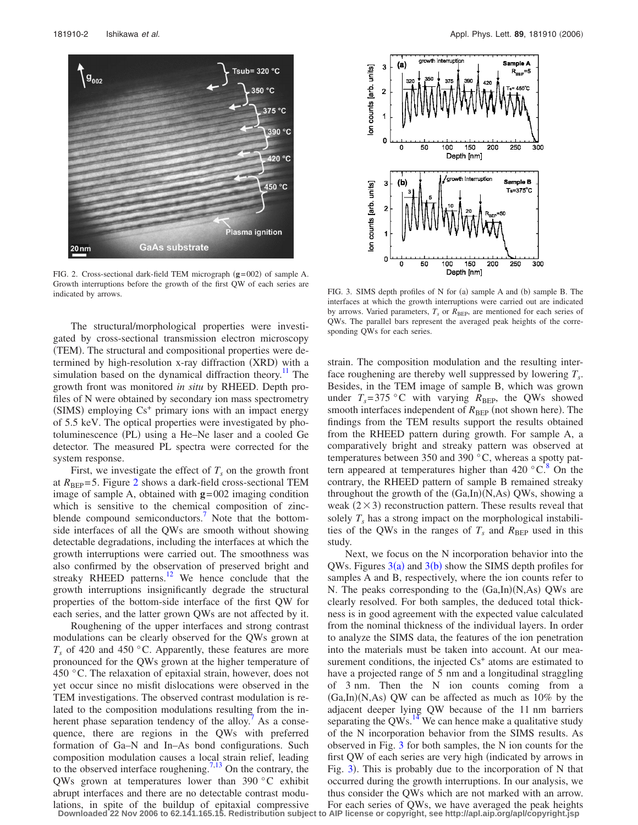<span id="page-1-0"></span>

FIG. 2. Cross-sectional dark-field TEM micrograph (g=002) of sample A. Growth interruptions before the growth of the first QW of each series are indicated by arrows. The sample B. The FIG. 3. SIMS depth profiles of N for (a) sample A and (b) sample B. The

The structural/morphological properties were investigated by cross-sectional transmission electron microscopy (TEM). The structural and compositional properties were determined by high-resolution x-ray diffraction (XRD) with a simulation based on the dynamical diffraction theory.<sup>11</sup> The growth front was monitored *in situ* by RHEED. Depth profiles of N were obtained by secondary ion mass spectrometry (SIMS) employing Cs<sup>+</sup> primary ions with an impact energy of 5.5 keV. The optical properties were investigated by photoluminescence (PL) using a He-Ne laser and a cooled Ge detector. The measured PL spectra were corrected for the system response.

First, we investigate the effect of  $T_s$  on the growth front at  $R_{\text{BEP}}$ =5. Figure [2](#page-1-0) shows a dark-field cross-sectional TEM image of sample A, obtained with **g**=002 imaging condition which is sensitive to the chemical composition of zincblende compound semiconductors.<sup>7</sup> Note that the bottomside interfaces of all the QWs are smooth without showing detectable degradations, including the interfaces at which the growth interruptions were carried out. The smoothness was also confirmed by the observation of preserved bright and streaky RHEED patterns. $12$  We hence conclude that the growth interruptions insignificantly degrade the structural properties of the bottom-side interface of the first QW for each series, and the latter grown QWs are not affected by it.

Roughening of the upper interfaces and strong contrast modulations can be clearly observed for the QWs grown at  $T_s$  of 420 and 450 °C. Apparently, these features are more pronounced for the QWs grown at the higher temperature of 450 °C. The relaxation of epitaxial strain, however, does not yet occur since no misfit dislocations were observed in the TEM investigations. The observed contrast modulation is related to the composition modulations resulting from the inherent phase separation tendency of the alloy.<sup>7</sup> As a consequence, there are regions in the QWs with preferred formation of Ga–N and In–As bond configurations. Such composition modulation causes a local strain relief, leading to the observed interface roughening.<sup>7[,13](#page-2-12)</sup> On the contrary, the QWs grown at temperatures lower than 390 °C exhibit abrupt interfaces and there are no detectable contrast modu-

<span id="page-1-1"></span>

interfaces at which the growth interruptions were carried out are indicated by arrows. Varied parameters,  $T_s$  or  $R_{\text{BEP}}$ , are mentioned for each series of QWs. The parallel bars represent the averaged peak heights of the corresponding QWs for each series.

strain. The composition modulation and the resulting interface roughening are thereby well suppressed by lowering  $T_s$ . Besides, in the TEM image of sample B, which was grown under  $T_s = 375$  °C with varying  $R_{\text{BEP}}$ , the QWs showed smooth interfaces independent of  $R_{\text{BEP}}$  (not shown here). The findings from the TEM results support the results obtained from the RHEED pattern during growth. For sample A, a comparatively bright and streaky pattern was observed at temperatures between 350 and 390 °C, whereas a spotty pattern appeared at temperatures higher than  $420\degree\text{C}^8$  On the contrary, the RHEED pattern of sample B remained streaky throughout the growth of the  $(Ga, In)(N, As)$  QWs, showing a weak  $(2 \times 3)$  reconstruction pattern. These results reveal that solely  $T<sub>s</sub>$  has a strong impact on the morphological instabilities of the QWs in the ranges of  $T_s$  and  $R_{\text{BEP}}$  used in this study.

Next, we focus on the N incorporation behavior into the QWs. Figures  $3(a)$  $3(a)$  and  $3(b)$  show the SIMS depth profiles for samples A and B, respectively, where the ion counts refer to N. The peaks corresponding to the (Ga,In)(N,As) QWs are clearly resolved. For both samples, the deduced total thickness is in good agreement with the expected value calculated from the nominal thickness of the individual layers. In order to analyze the SIMS data, the features of the ion penetration into the materials must be taken into account. At our measurement conditions, the injected  $Cs<sup>+</sup>$  atoms are estimated to have a projected range of 5 nm and a longitudinal straggling of 3 nm. Then the N ion counts coming from a  $(Ga, In)(N, As)$  QW can be affected as much as 10% by the adjacent deeper lying QW because of the 11 nm barriers separating the  $QWs$ .<sup>14</sup> We can hence make a qualitative study of the N incorporation behavior from the SIMS results. As observed in Fig. [3](#page-1-1) for both samples, the N ion counts for the first QW of each series are very high (indicated by arrows in Fig. [3](#page-1-1)). This is probably due to the incorporation of N that occurred during the growth interruptions. In our analysis, we thus consider the QWs which are not marked with an arrow.

lations, in spite of the buildup of epitaxial compressive For each series of QWs, we have averaged the peak heights<br>Downloaded 22 Nov 2006 to 62.141.165.15. Redistribution subject to AIP license or copyright, see http://ap